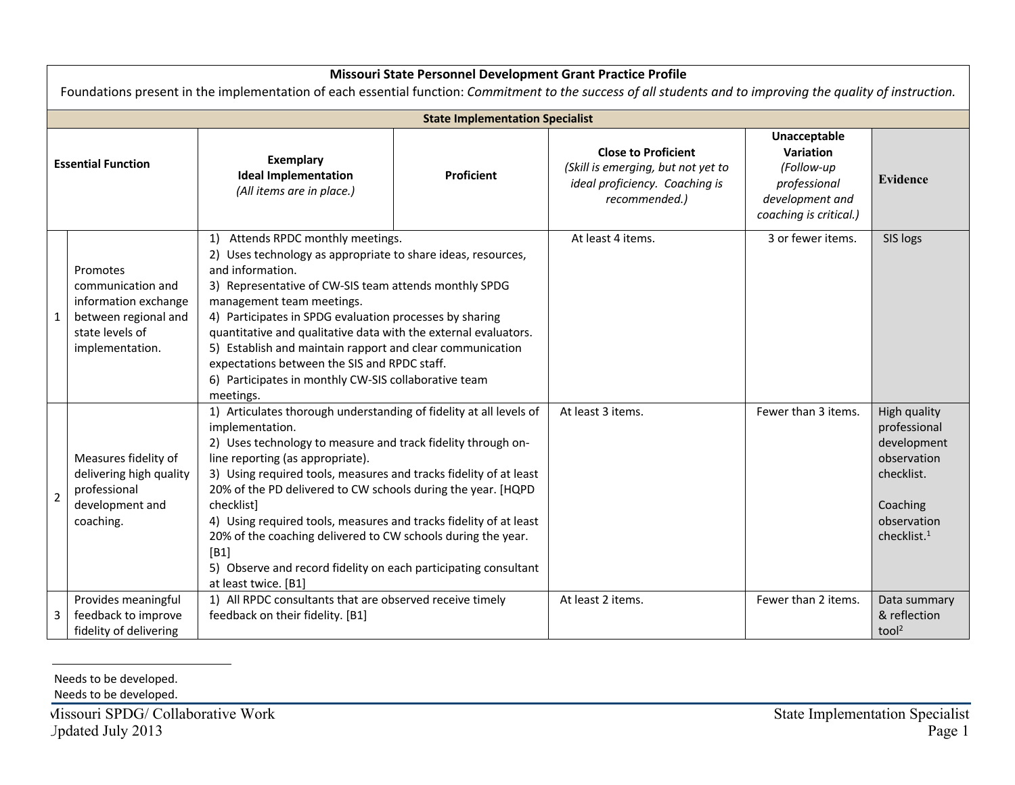| Missouri State Personnel Development Grant Practice Profile<br>Foundations present in the implementation of each essential function: Commitment to the success of all students and to improving the quality of instruction. |                                                                                                                     |                                                                                                                                                                                                                                                                                                                                                                                                                                                                                                                                                                                      |            |                                                                                                                     |                                                                                                      |                                                                                                                                |  |  |  |  |
|-----------------------------------------------------------------------------------------------------------------------------------------------------------------------------------------------------------------------------|---------------------------------------------------------------------------------------------------------------------|--------------------------------------------------------------------------------------------------------------------------------------------------------------------------------------------------------------------------------------------------------------------------------------------------------------------------------------------------------------------------------------------------------------------------------------------------------------------------------------------------------------------------------------------------------------------------------------|------------|---------------------------------------------------------------------------------------------------------------------|------------------------------------------------------------------------------------------------------|--------------------------------------------------------------------------------------------------------------------------------|--|--|--|--|
| <b>State Implementation Specialist</b>                                                                                                                                                                                      |                                                                                                                     |                                                                                                                                                                                                                                                                                                                                                                                                                                                                                                                                                                                      |            |                                                                                                                     |                                                                                                      |                                                                                                                                |  |  |  |  |
| <b>Essential Function</b>                                                                                                                                                                                                   |                                                                                                                     | Exemplary<br><b>Ideal Implementation</b><br>(All items are in place.)                                                                                                                                                                                                                                                                                                                                                                                                                                                                                                                | Proficient | <b>Close to Proficient</b><br>(Skill is emerging, but not yet to<br>ideal proficiency. Coaching is<br>recommended.) | Unacceptable<br>Variation<br>(Follow-up<br>professional<br>development and<br>coaching is critical.) | <b>Evidence</b>                                                                                                                |  |  |  |  |
|                                                                                                                                                                                                                             | Promotes<br>communication and<br>information exchange<br>between regional and<br>state levels of<br>implementation. | 1) Attends RPDC monthly meetings.<br>2) Uses technology as appropriate to share ideas, resources,<br>and information.<br>3) Representative of CW-SIS team attends monthly SPDG<br>management team meetings.<br>4) Participates in SPDG evaluation processes by sharing<br>quantitative and qualitative data with the external evaluators.<br>5) Establish and maintain rapport and clear communication<br>expectations between the SIS and RPDC staff.<br>6) Participates in monthly CW-SIS collaborative team<br>meetings.                                                          |            | At least 4 items.                                                                                                   | 3 or fewer items.                                                                                    | SIS logs                                                                                                                       |  |  |  |  |
| $\mathbf 2$                                                                                                                                                                                                                 | Measures fidelity of<br>delivering high quality<br>professional<br>development and<br>coaching.                     | 1) Articulates thorough understanding of fidelity at all levels of<br>implementation.<br>2) Uses technology to measure and track fidelity through on-<br>line reporting (as appropriate).<br>3) Using required tools, measures and tracks fidelity of at least<br>20% of the PD delivered to CW schools during the year. [HQPD<br>checklist]<br>4) Using required tools, measures and tracks fidelity of at least<br>20% of the coaching delivered to CW schools during the year.<br>[B1]<br>5) Observe and record fidelity on each participating consultant<br>at least twice. [B1] |            | At least 3 items.                                                                                                   | Fewer than 3 items.                                                                                  | High quality<br>professional<br>development<br>observation<br>checklist.<br>Coaching<br>observation<br>checklist. <sup>1</sup> |  |  |  |  |
| 3                                                                                                                                                                                                                           | Provides meaningful<br>feedback to improve<br>fidelity of delivering                                                | 1) All RPDC consultants that are observed receive timely<br>feedback on their fidelity. [B1]                                                                                                                                                                                                                                                                                                                                                                                                                                                                                         |            | At least 2 items.                                                                                                   | Fewer than 2 items.                                                                                  | Data summary<br>& reflection<br>tool <sup>2</sup>                                                                              |  |  |  |  |